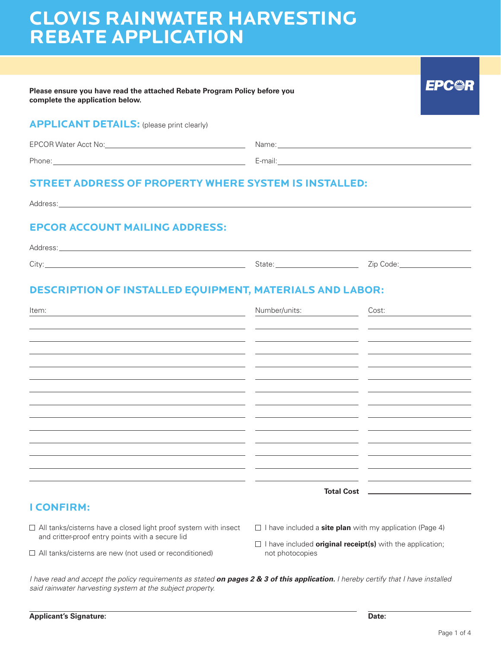# **CLOVIS RAINWATER HARVESTING REBATE APPLICATION**

| Please ensure you have read the attached Rebate Program Policy before you<br>complete the application below.                                                                                                                   |                                                                                                                       | EPC·                                                      |
|--------------------------------------------------------------------------------------------------------------------------------------------------------------------------------------------------------------------------------|-----------------------------------------------------------------------------------------------------------------------|-----------------------------------------------------------|
| <b>APPLICANT DETAILS:</b> (please print clearly)                                                                                                                                                                               |                                                                                                                       |                                                           |
|                                                                                                                                                                                                                                |                                                                                                                       |                                                           |
| Phone: E-mail: E-mail: E-mail: E-mail: E-mail: E-mail: E-mail: E-mail: E-mail: E-mail: E-mail: E-mail: E-mail: E-mail: E-mail: E-mail: E-mail: E-mail: E-mail: E-mail: E-mail: E-mail: E-mail: E-mail: E-mail: E-mail: E-mail: |                                                                                                                       |                                                           |
| <b>STREET ADDRESS OF PROPERTY WHERE SYSTEM IS INSTALLED:</b>                                                                                                                                                                   |                                                                                                                       |                                                           |
|                                                                                                                                                                                                                                |                                                                                                                       |                                                           |
| <b>EPCOR ACCOUNT MAILING ADDRESS:</b>                                                                                                                                                                                          |                                                                                                                       |                                                           |
| City: Zip Code: City: Zip Code: 2014                                                                                                                                                                                           |                                                                                                                       |                                                           |
| <b>DESCRIPTION OF INSTALLED EQUIPMENT, MATERIALS AND LABOR:</b>                                                                                                                                                                |                                                                                                                       |                                                           |
| Item:<br><u> 1989 - Johann Barn, mars eta bainar eta industrial eta baina eta baina eta baina eta baina eta baina eta bain</u>                                                                                                 |                                                                                                                       | Number/units: Cost:                                       |
|                                                                                                                                                                                                                                | <u> 1989 - Andrea Santa Andrea Andrea Andrea Andrea Andrea Andrea Andrea Andrea Andrea Andrea Andrea Andrea Andr</u>  |                                                           |
|                                                                                                                                                                                                                                | <u> 1989 - Andrea San Andrea San Andrea San Andrea San Andrea San Andrea San Andrea San Andrea San Andrea San An</u>  |                                                           |
|                                                                                                                                                                                                                                |                                                                                                                       |                                                           |
| <u> 1980 - Jan Samuel Barbara, martin a shekara 1980 - An tsara 1980 - An tsara 1980 - An tsara 1980 - An tsara</u>                                                                                                            | <u> 1989 - Andrea Santa Alemania, amerikana amerikana popularna amerikana amerikana amerikana amerikana amerikana</u> | <u> 1990 - Johann John Stone, fransk politik (* 1900)</u> |
|                                                                                                                                                                                                                                |                                                                                                                       |                                                           |
|                                                                                                                                                                                                                                |                                                                                                                       |                                                           |
|                                                                                                                                                                                                                                |                                                                                                                       |                                                           |
|                                                                                                                                                                                                                                |                                                                                                                       |                                                           |
|                                                                                                                                                                                                                                |                                                                                                                       |                                                           |
|                                                                                                                                                                                                                                |                                                                                                                       | <b>Total Cost</b>                                         |

## **I CONFIRM:**

- □ All tanks/cisterns have a closed light proof system with insect and critter-proof entry points with a secure lid
- All tanks/cisterns are new (not used or reconditioned)
- □ I have included a **site plan** with my application (Page 4)
- I have included **original receipt(s)** with the application; not photocopies

*I have read and accept the policy requirements as stated on pages 2 & 3 of this application. I hereby certify that I have installed said rainwater harvesting system at the subject property.*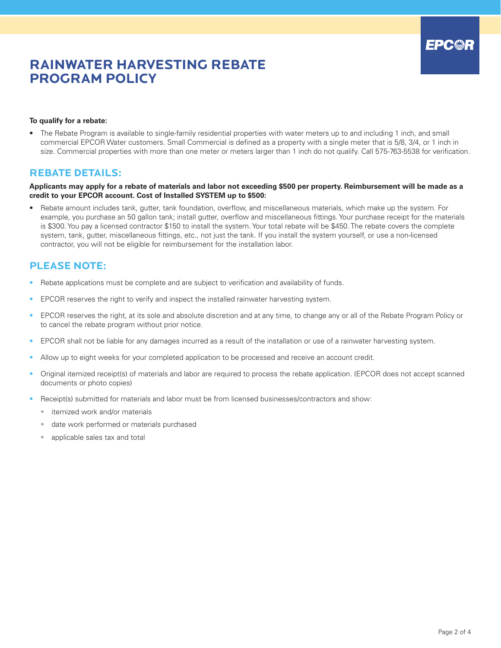## **RAINWATER HARVESTING REBATE PROGRAM POLICY**

#### **To qualify for a rebate:**

• The Rebate Program is available to single-family residential properties with water meters up to and including 1 inch, and small commercial EPCOR Water customers. Small Commercial is defined as a property with a single meter that is 5/8, 3/4, or 1 inch in size. Commercial properties with more than one meter or meters larger than 1 inch do not qualify. Call 575-763-5538 for verification.

### **REBATE DETAILS:**

#### **Applicants may apply for a rebate of materials and labor not exceeding \$500 per property. Reimbursement will be made as a credit to your EPCOR account. Cost of Installed SYSTEM up to \$500:**

• Rebate amount includes tank, gutter, tank foundation, overflow, and miscellaneous materials, which make up the system. For example, you purchase an 50 gallon tank; install gutter, overflow and miscellaneous fittings. Your purchase receipt for the materials is \$300. You pay a licensed contractor \$150 to install the system. Your total rebate will be \$450. The rebate covers the complete system, tank, gutter, miscellaneous fittings, etc., not just the tank. If you install the system yourself, or use a non-licensed contractor, you will not be eligible for reimbursement for the installation labor.

### **PLEASE NOTE:**

- Rebate applications must be complete and are subject to verification and availability of funds.
- EPCOR reserves the right to verify and inspect the installed rainwater harvesting system.
- EPCOR reserves the right, at its sole and absolute discretion and at any time, to change any or all of the Rebate Program Policy or to cancel the rebate program without prior notice.
- EPCOR shall not be liable for any damages incurred as a result of the installation or use of a rainwater harvesting system.
- Allow up to eight weeks for your completed application to be processed and receive an account credit.
- Original itemized receipt(s) of materials and labor are required to process the rebate application. (EPCOR does not accept scanned documents or photo copies)
- Receipt(s) submitted for materials and labor must be from licensed businesses/contractors and show:
	- itemized work and/or materials
	- date work performed or materials purchased
	- applicable sales tax and total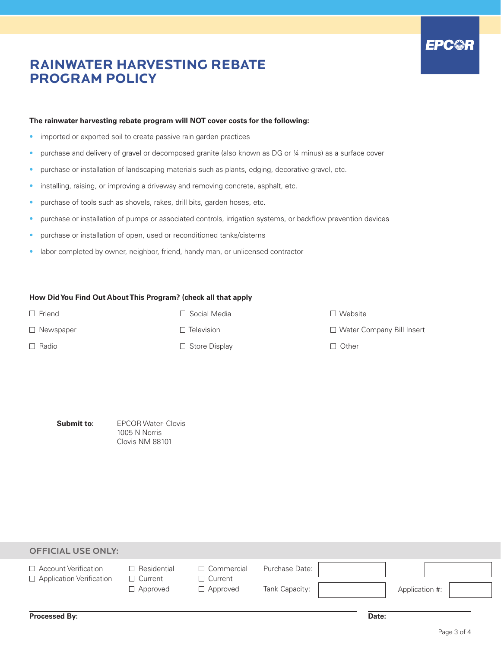## **EPC@R**

## **RAINWATER HARVESTING REBATE PROGRAM POLICY**

### **The rainwater harvesting rebate program will NOT cover costs for the following:**

- imported or exported soil to create passive rain garden practices
- purchase and delivery of gravel or decomposed granite (also known as DG or 1/4 minus) as a surface cover
- purchase or installation of landscaping materials such as plants, edging, decorative gravel, etc.
- installing, raising, or improving a driveway and removing concrete, asphalt, etc.
- purchase of tools such as shovels, rakes, drill bits, garden hoses, etc.
- purchase or installation of pumps or associated controls, irrigation systems, or backflow prevention devices
- purchase or installation of open, used or reconditioned tanks/cisterns
- labor completed by owner, neighbor, friend, handy man, or unlicensed contractor

### **How Did You Find Out About This Program? (check all that apply**

| $\Box$ Friend    | $\Box$ Social Media  | $\Box$ Website              |
|------------------|----------------------|-----------------------------|
| $\Box$ Newspaper | $\Box$ Television    | □ Water Company Bill Insert |
| $\Box$ Radio     | $\Box$ Store Display | $\Box$ Other                |
|                  |                      |                             |

**Submit to:** 

EPCOR Water- Clovis 1005 N Norris Clovis NM 88101

| <b>OFFICIAL USE ONLY:</b>                                      |                                                         |                                                        |                                  |                |  |
|----------------------------------------------------------------|---------------------------------------------------------|--------------------------------------------------------|----------------------------------|----------------|--|
| $\Box$ Account Verification<br>$\Box$ Application Verification | $\Box$ Residential<br>$\Box$ Current<br>$\Box$ Approved | $\Box$ Commercial<br>$\Box$ Current<br>$\Box$ Approved | Purchase Date:<br>Tank Capacity: | Application #: |  |